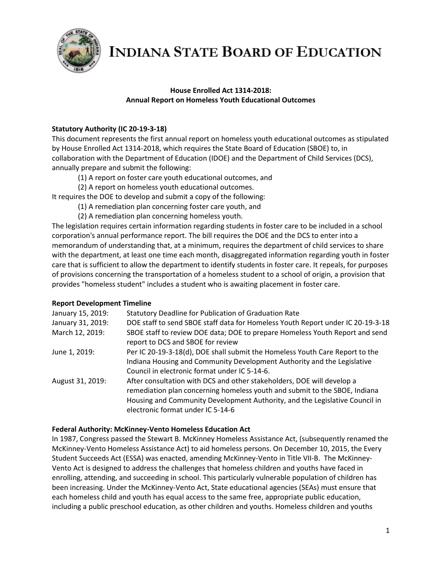

#### **House Enrolled Act 1314-2018: Annual Report on Homeless Youth Educational Outcomes**

#### **Statutory Authority (IC 20-19-3-18)**

This document represents the first annual report on homeless youth educational outcomes as stipulated by House Enrolled Act 1314-2018, which requires the State Board of Education (SBOE) to, in collaboration with the Department of Education (IDOE) and the Department of Child Services (DCS), annually prepare and submit the following:

- (1) A report on foster care youth educational outcomes, and
- (2) A report on homeless youth educational outcomes.

It requires the DOE to develop and submit a copy of the following:

- (1) A remediation plan concerning foster care youth, and
- (2) A remediation plan concerning homeless youth.

The legislation requires certain information regarding students in foster care to be included in a school corporation's annual performance report. The bill requires the DOE and the DCS to enter into a memorandum of understanding that, at a minimum, requires the department of child services to share with the department, at least one time each month, disaggregated information regarding youth in foster care that is sufficient to allow the department to identify students in foster care. It repeals, for purposes of provisions concerning the transportation of a homeless student to a school of origin, a provision that provides "homeless student" includes a student who is awaiting placement in foster care.

#### **Report Development Timeline**

| January 15, 2019: | <b>Statutory Deadline for Publication of Graduation Rate</b>                                                                                                                                                                                                             |
|-------------------|--------------------------------------------------------------------------------------------------------------------------------------------------------------------------------------------------------------------------------------------------------------------------|
| January 31, 2019: | DOE staff to send SBOE staff data for Homeless Youth Report under IC 20-19-3-18                                                                                                                                                                                          |
| March 12, 2019:   | SBOE staff to review DOE data; DOE to prepare Homeless Youth Report and send<br>report to DCS and SBOE for review                                                                                                                                                        |
| June 1, 2019:     | Per IC 20-19-3-18(d), DOE shall submit the Homeless Youth Care Report to the<br>Indiana Housing and Community Development Authority and the Legislative<br>Council in electronic format under IC 5-14-6.                                                                 |
| August 31, 2019:  | After consultation with DCS and other stakeholders, DOE will develop a<br>remediation plan concerning homeless youth and submit to the SBOE, Indiana<br>Housing and Community Development Authority, and the Legislative Council in<br>electronic format under IC 5-14-6 |

#### **Federal Authority: McKinney-Vento Homeless Education Act**

In 1987, Congress passed the Stewart B. McKinney Homeless Assistance Act, (subsequently renamed the McKinney-Vento Homeless Assistance Act) to aid homeless persons. On December 10, 2015, the Every Student Succeeds Act (ESSA) was enacted, amending McKinney-Vento in Title VII-B. The McKinney-Vento Act is designed to address the challenges that homeless children and youths have faced in enrolling, attending, and succeeding in school. This particularly vulnerable population of children has been increasing. Under the McKinney-Vento Act, State educational agencies (SEAs) must ensure that each homeless child and youth has equal access to the same free, appropriate public education, including a public preschool education, as other children and youths. Homeless children and youths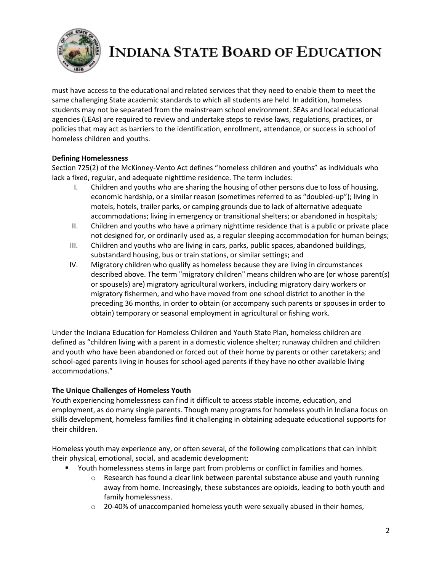

must have access to the educational and related services that they need to enable them to meet the same challenging State academic standards to which all students are held. In addition, homeless students may not be separated from the mainstream school environment. SEAs and local educational agencies (LEAs) are required to review and undertake steps to revise laws, regulations, practices, or policies that may act as barriers to the identification, enrollment, attendance, or success in school of homeless children and youths.

#### **Defining Homelessness**

Section 725(2) of the McKinney-Vento Act defines "homeless children and youths" as individuals who lack a fixed, regular, and adequate nighttime residence. The term includes:

- I. Children and youths who are sharing the housing of other persons due to loss of housing, economic hardship, or a similar reason (sometimes referred to as "doubled-up"); living in motels, hotels, trailer parks, or camping grounds due to lack of alternative adequate accommodations; living in emergency or transitional shelters; or abandoned in hospitals;
- II. Children and youths who have a primary nighttime residence that is a public or private place not designed for, or ordinarily used as, a regular sleeping accommodation for human beings;
- III. Children and youths who are living in cars, parks, public spaces, abandoned buildings, substandard housing, bus or train stations, or similar settings; and
- IV. Migratory children who qualify as homeless because they are living in circumstances described above. The term "migratory children" means children who are (or whose parent(s) or spouse(s) are) migratory agricultural workers, including migratory dairy workers or migratory fishermen, and who have moved from one school district to another in the preceding 36 months, in order to obtain (or accompany such parents or spouses in order to obtain) temporary or seasonal employment in agricultural or fishing work.

Under the Indiana Education for Homeless Children and Youth State Plan, homeless children are defined as "children living with a parent in a domestic violence shelter; runaway children and children and youth who have been abandoned or forced out of their home by parents or other caretakers; and school-aged parents living in houses for school-aged parents if they have no other available living accommodations."

#### **The Unique Challenges of Homeless Youth**

Youth experiencing homelessness can find it difficult to access stable income, education, and employment, as do many single parents. Though many programs for homeless youth in Indiana focus on skills development, homeless families find it challenging in obtaining adequate educational supports for their children.

Homeless youth may experience any, or often several, of the following complications that can inhibit their physical, emotional, social, and academic development:

- **Vouth homelessness stems in large part from problems or conflict in families and homes.** 
	- $\circ$  Research has found a clear link between parental substance abuse and youth running away from home. Increasingly, these substances are opioids, leading to both youth and family homelessness.
	- $\circ$  20-40% of unaccompanied homeless youth were sexually abused in their homes,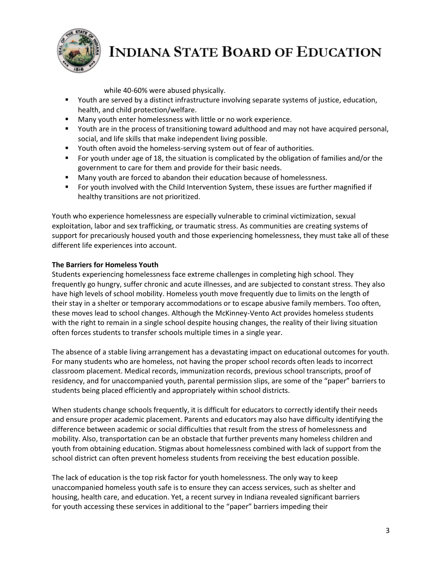

while 40-60% were abused physically.

- Youth are served by a distinct infrastructure involving separate systems of justice, education, health, and child protection/welfare.
- **Many youth enter homelessness with little or no work experience.**
- Youth are in the process of transitioning toward adulthood and may not have acquired personal, social, and life skills that make independent living possible.
- Youth often avoid the homeless-serving system out of fear of authorities.
- For youth under age of 18, the situation is complicated by the obligation of families and/or the government to care for them and provide for their basic needs.
- Many youth are forced to abandon their education because of homelessness.
- For youth involved with the Child Intervention System, these issues are further magnified if healthy transitions are not prioritized.

Youth who experience homelessness are especially vulnerable to criminal victimization, sexual exploitation, labor and sex trafficking, or traumatic stress. As communities are creating systems of support for precariously housed youth and those experiencing homelessness, they must take all of these different life experiences into account.

#### **The Barriers for Homeless Youth**

Students experiencing homelessness face extreme challenges in completing high school. They frequently go hungry, suffer chronic and acute illnesses, and are subjected to constant stress. They also have high levels of school mobility. Homeless youth move frequently due to limits on the length of their stay in a shelter or temporary accommodations or to escape abusive family members. Too often, these moves lead to school changes. Although the McKinney-Vento Act provides homeless students with the right to remain in a single school despite housing changes, the reality of their living situation often forces students to transfer schools multiple times in a single year.

The absence of a stable living arrangement has a devastating impact on educational outcomes for youth. For many students who are homeless, not having the proper school records often leads to incorrect classroom placement. Medical records, immunization records, previous school transcripts, proof of residency, and for unaccompanied youth, parental permission slips, are some of the "paper" barriers to students being placed efficiently and appropriately within school districts.

When students change schools frequently, it is difficult for educators to correctly identify their needs and ensure proper academic placement. Parents and educators may also have difficulty identifying the difference between academic or social difficulties that result from the stress of homelessness and mobility. Also, transportation can be an obstacle that further prevents many homeless children and youth from obtaining education. Stigmas about homelessness combined with lack of support from the school district can often prevent homeless students from receiving the best education possible.

The lack of education is the top risk factor for youth homelessness. The only way to keep unaccompanied homeless youth safe is to ensure they can access services, such as shelter and housing, health care, and education. Yet, a recent survey in Indiana revealed significant barriers for youth accessing these services in additional to the "paper" barriers impeding their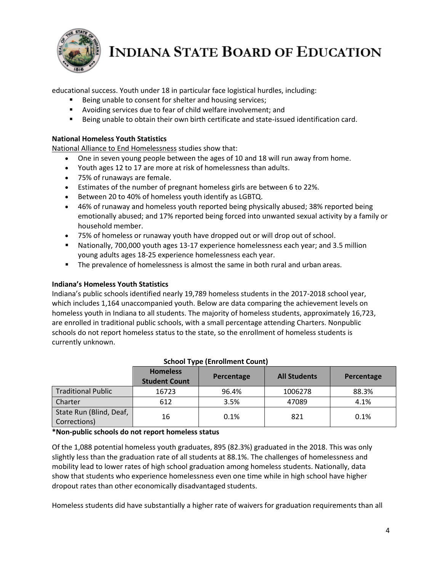

educational success. Youth under 18 in particular face logistical hurdles, including:

- Being unable to consent for shelter and housing services;
- Avoiding services due to fear of child welfare involvement; and
- Being unable to obtain their own birth certificate and state-issued identification card.

#### **National Homeless Youth Statistics**

[National Alliance to End Homelessness](https://endhomelessness.org/homelessness-in-america/homelessness-statistics/state-of-homelessness-report/) studies show that:

- One in seven young people between the ages of 10 and 18 will run away from home.
- Youth ages 12 to 17 are more at risk of homelessness than adults.
- 75% of runaways are female.
- Estimates of the number of pregnant homeless girls are between 6 to 22%.
- Between 20 to 40% of homeless youth identify as LGBTQ.
- 46% of runaway and homeless youth reported being physically abused; 38% reported being emotionally abused; and 17% reported being forced into unwanted sexual activity by a family or household member.
- 75% of homeless or runaway youth have dropped out or will drop out of school.
- Nationally, 700,000 youth ages 13-17 experience homelessness each year; and 3.5 million young adults ages 18-25 experience homelessness each year.
- The prevalence of homelessness is almost the same in both rural and urban areas.

#### **Indiana's Homeless Youth Statistics**

Indiana's public schools identified nearly 19,789 homeless students in the 2017-2018 school year, which includes 1,164 unaccompanied youth. Below are data comparing the achievement levels on homeless youth in Indiana to all students. The majority of homeless students, approximately 16,723, are enrolled in traditional public schools, with a small percentage attending Charters. Nonpublic schools do not report homeless status to the state, so the enrollment of homeless students is currently unknown.

|                                         | <b>Homeless</b><br><b>Student Count</b> | Percentage | <b>All Students</b> | Percentage |
|-----------------------------------------|-----------------------------------------|------------|---------------------|------------|
| <b>Traditional Public</b>               | 16723                                   | 96.4%      | 1006278             | 88.3%      |
| Charter                                 | 612                                     | 3.5%       | 47089               | 4.1%       |
| State Run (Blind, Deaf,<br>Corrections) | 16                                      | 0.1%       | 821                 | 0.1%       |

#### **School Type (Enrollment Count)**

**\*Non-public schools do not report homeless status**

Of the 1,088 potential homeless youth graduates, 895 (82.3%) graduated in the 2018. This was only slightly less than the graduation rate of all students at 88.1%. The challenges of homelessness and mobility lead to lower rates of high school graduation among homeless students. Nationally, data show that students who experience homelessness even one time while in high school have higher dropout rates than other economically disadvantaged students.

Homeless students did have substantially a higher rate of waivers for graduation requirements than all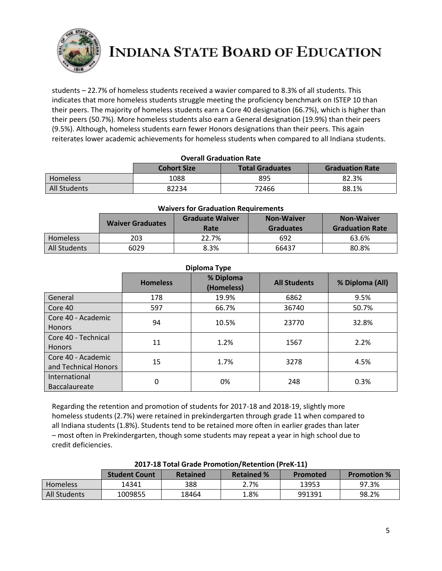

students – 22.7% of homeless students received a wavier compared to 8.3% of all students. This indicates that more homeless students struggle meeting the proficiency benchmark on ISTEP 10 than their peers. The majority of homeless students earn a Core 40 designation (66.7%), which is higher than their peers (50.7%). More homeless students also earn a General designation (19.9%) than their peers (9.5%). Although, homeless students earn fewer Honors designations than their peers. This again reiterates lower academic achievements for homeless students when compared to all Indiana students.

| <b>Overall Graduation Rate</b>                                         |      |     |       |  |  |  |
|------------------------------------------------------------------------|------|-----|-------|--|--|--|
| <b>Total Graduates</b><br><b>Cohort Size</b><br><b>Graduation Rate</b> |      |     |       |  |  |  |
| <b>Homeless</b>                                                        | 1088 | 895 | 82.3% |  |  |  |
| All Students<br>88.1%<br>72466<br>82234                                |      |     |       |  |  |  |

| <b>Waivers for Graduation Requirements</b> |  |
|--------------------------------------------|--|
|--------------------------------------------|--|

|                 | <b>Waiver Graduates</b> | <b>Graduate Waiver</b><br>Rate | <b>Non-Waiver</b><br><b>Graduates</b> | <b>Non-Waiver</b><br><b>Graduation Rate</b> |
|-----------------|-------------------------|--------------------------------|---------------------------------------|---------------------------------------------|
| <b>Homeless</b> | 203                     | 22.7%                          | 692                                   | 63.6%                                       |
| All Students    | 6029                    | 8.3%                           | 66437                                 | 80.8%                                       |

| Diploma Type                               |                                                                                      |       |       |       |  |  |  |
|--------------------------------------------|--------------------------------------------------------------------------------------|-------|-------|-------|--|--|--|
|                                            | % Diploma<br>% Diploma (All)<br><b>All Students</b><br><b>Homeless</b><br>(Homeless) |       |       |       |  |  |  |
| General                                    | 178                                                                                  | 19.9% | 6862  | 9.5%  |  |  |  |
| Core 40                                    | 597                                                                                  | 66.7% | 36740 | 50.7% |  |  |  |
| Core 40 - Academic<br><b>Honors</b>        | 94                                                                                   | 10.5% | 23770 | 32.8% |  |  |  |
| Core 40 - Technical<br><b>Honors</b>       | 11                                                                                   | 1.2%  | 1567  | 2.2%  |  |  |  |
| Core 40 - Academic<br>and Technical Honors | 15                                                                                   | 1.7%  | 3278  | 4.5%  |  |  |  |
| International<br><b>Baccalaureate</b>      | 0                                                                                    | 0%    | 248   | 0.3%  |  |  |  |

Regarding the retention and promotion of students for 2017-18 and 2018-19, slightly more homeless students (2.7%) were retained in prekindergarten through grade 11 when compared to all Indiana students (1.8%). Students tend to be retained more often in earlier grades than later – most often in Prekindergarten, though some students may repeat a year in high school due to credit deficiencies.

|              | =01, 10 TOWEDING FIGHTSHOT, RECEIVED FIGHTSHOT |                 |                   |          |                    |  |
|--------------|------------------------------------------------|-----------------|-------------------|----------|--------------------|--|
|              | <b>Student Count</b>                           | <b>Retained</b> | <b>Retained %</b> | Promoted | <b>Promotion %</b> |  |
| Homeless     | 14341                                          | 388             | 2.7%              | 13953    | 97.3%              |  |
| All Students | 1009855                                        | 18464           | 1.8%              | 991391   | 98.2%              |  |

#### **2017-18 Total Grade Promotion/Retention (PreK-11)**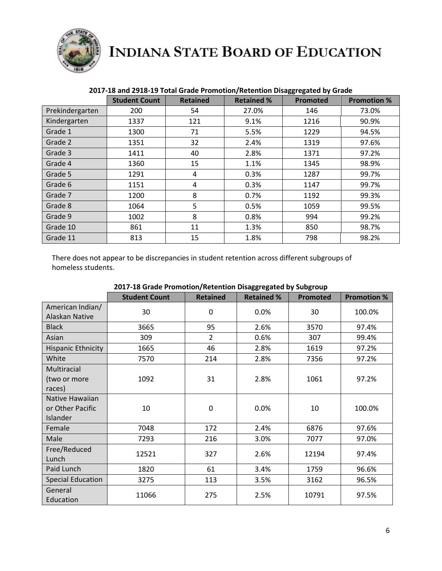

|                 | <b>Student Count</b> | <b>Retained</b> | <b>Retained %</b> | <b>Promoted</b> | <b>Promotion %</b> |
|-----------------|----------------------|-----------------|-------------------|-----------------|--------------------|
| Prekindergarten | 200                  | 54              | 27.0%             | 146             | 73.0%              |
| Kindergarten    | 1337                 | 121             | 9.1%              | 1216            | 90.9%              |
| Grade 1         | 1300                 | 71              | 5.5%              | 1229            | 94.5%              |
| Grade 2         | 1351                 | 32              | 2.4%              | 1319            | 97.6%              |
| Grade 3         | 1411                 | 40              | 2.8%              | 1371            | 97.2%              |
| Grade 4         | 1360                 | 15              | 1.1%              | 1345            | 98.9%              |
| Grade 5         | 1291                 | 4               | 0.3%              | 1287            | 99.7%              |
| Grade 6         | 1151                 | 4               | 0.3%              | 1147            | 99.7%              |
| Grade 7         | 1200                 | 8               | 0.7%              | 1192            | 99.3%              |
| Grade 8         | 1064                 | 5               | 0.5%              | 1059            | 99.5%              |
| Grade 9         | 1002                 | 8               | 0.8%              | 994             | 99.2%              |
| Grade 10        | 861                  | 11              | 1.3%              | 850             | 98.7%              |
| Grade 11        | 813                  | 15              | 1.8%              | 798             | 98.2%              |

#### **2017-18 and 2918-19 Total Grade Promotion/Retention Disaggregated by Grade**

There does not appear to be discrepancies in student retention across different subgroups of homeless students.

|                                                 | oo - o               |                 |                   |          |                    |
|-------------------------------------------------|----------------------|-----------------|-------------------|----------|--------------------|
|                                                 | <b>Student Count</b> | <b>Retained</b> | <b>Retained %</b> | Promoted | <b>Promotion %</b> |
| American Indian/<br>Alaskan Native              | 30                   | 0               | 0.0%              | 30       | 100.0%             |
| <b>Black</b>                                    | 3665                 | 95              | 2.6%              | 3570     | 97.4%              |
| Asian                                           | 309                  | $\overline{2}$  | 0.6%              | 307      | 99.4%              |
| Hispanic Ethnicity                              | 1665                 | 46              | 2.8%              | 1619     | 97.2%              |
| White                                           | 7570                 | 214             | 2.8%              | 7356     | 97.2%              |
| Multiracial<br>(two or more<br>races)           | 1092                 | 31              | 2.8%              | 1061     | 97.2%              |
| Native Hawaiian<br>or Other Pacific<br>Islander | 10                   | 0               | 0.0%              | 10       | 100.0%             |
| Female                                          | 7048                 | 172             | 2.4%              | 6876     | 97.6%              |
| Male                                            | 7293                 | 216             | 3.0%              | 7077     | 97.0%              |
| Free/Reduced<br>Lunch                           | 12521                | 327             | 2.6%              | 12194    | 97.4%              |
| Paid Lunch                                      | 1820                 | 61              | 3.4%              | 1759     | 96.6%              |
| <b>Special Education</b>                        | 3275                 | 113             | 3.5%              | 3162     | 96.5%              |
| General<br>Education                            | 11066                | 275             | 2.5%              | 10791    | 97.5%              |

**2017-18 Grade Promotion/Retention Disaggregated by Subgroup**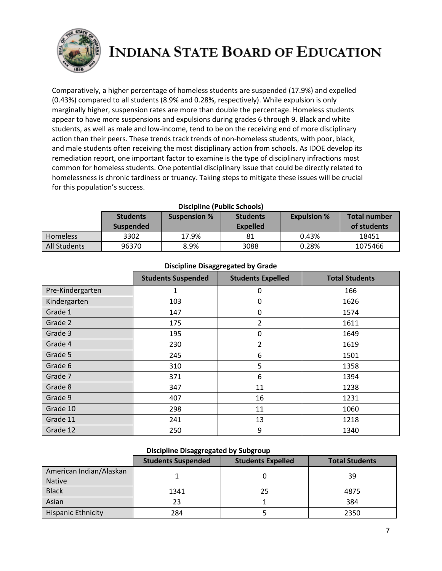

Comparatively, a higher percentage of homeless students are suspended (17.9%) and expelled (0.43%) compared to all students (8.9% and 0.28%, respectively). While expulsion is only marginally higher, suspension rates are more than double the percentage. Homeless students appear to have more suspensions and expulsions during grades 6 through 9. Black and white students, as well as male and low-income, tend to be on the receiving end of more disciplinary action than their peers. These trends track trends of non-homeless students, with poor, black, and male students often receiving the most disciplinary action from schools. As IDOE develop its remediation report, one important factor to examine is the type of disciplinary infractions most common for homeless students. One potential disciplinary issue that could be directly related to homelessness is chronic tardiness or truancy. Taking steps to mitigate these issues will be crucial for this population's success.

| <b>Discipline (Public Schools)</b> |  |
|------------------------------------|--|
|------------------------------------|--|

|                 | <b>Students</b><br>Suspended | <b>Suspension %</b> | <b>Students</b><br><b>Expelled</b> | <b>Expulsion %</b> | <b>Total number</b><br>of students |
|-----------------|------------------------------|---------------------|------------------------------------|--------------------|------------------------------------|
| <b>Homeless</b> | 3302                         | 17.9%               | 81                                 | 0.43%              | 18451                              |
| All Students    | 96370                        | 8.9%                | 3088                               | 0.28%              | 1075466                            |

|                  | <b>Students Suspended</b> | <b>Students Expelled</b> | <b>Total Students</b> |
|------------------|---------------------------|--------------------------|-----------------------|
| Pre-Kindergarten | 1                         | 0                        | 166                   |
| Kindergarten     | 103                       | 0                        | 1626                  |
| Grade 1          | 147                       | 0                        | 1574                  |
| Grade 2          | 175                       | 2                        | 1611                  |
| Grade 3          | 195                       | 0                        | 1649                  |
| Grade 4          | 230                       | 2                        | 1619                  |
| Grade 5          | 245                       | 6                        | 1501                  |
| Grade 6          | 310                       | 5                        | 1358                  |
| Grade 7          | 371                       | 6                        | 1394                  |
| Grade 8          | 347                       | 11                       | 1238                  |
| Grade 9          | 407                       | 16                       | 1231                  |
| Grade 10         | 298                       | 11                       | 1060                  |
| Grade 11         | 241                       | 13                       | 1218                  |
| Grade 12         | 250                       | 9                        | 1340                  |

#### **Discipline Disaggregated by Grade**

#### **Discipline Disaggregated by Subgroup**

|                           | <b>Students Suspended</b> | <b>Students Expelled</b> | <b>Total Students</b> |
|---------------------------|---------------------------|--------------------------|-----------------------|
| American Indian/Alaskan   |                           |                          | 39                    |
| <b>Native</b>             |                           |                          |                       |
| <b>Black</b>              | 1341                      | 25                       | 4875                  |
| Asian                     | 23                        |                          | 384                   |
| <b>Hispanic Ethnicity</b> | 284                       |                          | 2350                  |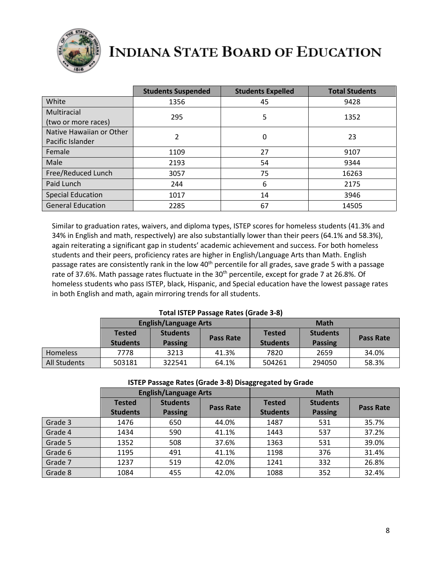

|                                              | <b>Students Suspended</b> | <b>Students Expelled</b> | <b>Total Students</b> |
|----------------------------------------------|---------------------------|--------------------------|-----------------------|
| White                                        | 1356                      | 45                       | 9428                  |
| Multiracial<br>(two or more races)           | 295                       | 5                        | 1352                  |
| Native Hawaiian or Other<br>Pacific Islander | 2                         | 0                        | 23                    |
| Female                                       | 1109                      | 27                       | 9107                  |
| Male                                         | 2193                      | 54                       | 9344                  |
| Free/Reduced Lunch                           | 3057                      | 75                       | 16263                 |
| Paid Lunch                                   | 244                       | 6                        | 2175                  |
| <b>Special Education</b>                     | 1017                      | 14                       | 3946                  |
| <b>General Education</b>                     | 2285                      | 67                       | 14505                 |

Similar to graduation rates, waivers, and diploma types, ISTEP scores for homeless students (41.3% and 34% in English and math, respectively) are also substantially lower than their peers (64.1% and 58.3%), again reiterating a significant gap in students' academic achievement and success. For both homeless students and their peers, proficiency rates are higher in English/Language Arts than Math. English passage rates are consistently rank in the low 40<sup>th</sup> percentile for all grades, save grade 5 with a passage rate of 37.6%. Math passage rates fluctuate in the 30<sup>th</sup> percentile, except for grade 7 at 26.8%. Of homeless students who pass ISTEP, black, Hispanic, and Special education have the lowest passage rates in both English and math, again mirroring trends for all students.

| <b>Total ISTEP Passage Rates (Grade 3-8)</b> |                                  |                                   |           |                                  |                                   |           |  |
|----------------------------------------------|----------------------------------|-----------------------------------|-----------|----------------------------------|-----------------------------------|-----------|--|
|                                              | <b>English/Language Arts</b>     |                                   |           | <b>Math</b>                      |                                   |           |  |
|                                              | <b>Tested</b><br><b>Students</b> | <b>Students</b><br><b>Passing</b> | Pass Rate | <b>Tested</b><br><b>Students</b> | <b>Students</b><br><b>Passing</b> | Pass Rate |  |
| <b>Homeless</b>                              | 7778                             | 3213                              | 41.3%     | 7820                             | 2659                              | 34.0%     |  |
| All Students                                 | 503181                           | 322541                            | 64.1%     | 504261                           | 294050                            | 58.3%     |  |

| <b>19TEL Tassage Nates (Graue 9-0) Disaggregated by Graue</b> |                              |                 |                  |                 |                 |                  |  |
|---------------------------------------------------------------|------------------------------|-----------------|------------------|-----------------|-----------------|------------------|--|
|                                                               | <b>English/Language Arts</b> |                 |                  | <b>Math</b>     |                 |                  |  |
|                                                               | <b>Tested</b>                | <b>Students</b> | <b>Pass Rate</b> | <b>Tested</b>   | <b>Students</b> | <b>Pass Rate</b> |  |
|                                                               | <b>Students</b>              | <b>Passing</b>  |                  | <b>Students</b> | <b>Passing</b>  |                  |  |
| Grade 3                                                       | 1476                         | 650             | 44.0%            | 1487            | 531             | 35.7%            |  |
| Grade 4                                                       | 1434                         | 590             | 41.1%            | 1443            | 537             | 37.2%            |  |
| Grade 5                                                       | 1352                         | 508             | 37.6%            | 1363            | 531             | 39.0%            |  |
| Grade 6                                                       | 1195                         | 491             | 41.1%            | 1198            | 376             | 31.4%            |  |
| Grade 7                                                       | 1237                         | 519             | 42.0%            | 1241            | 332             | 26.8%            |  |
| Grade 8                                                       | 1084                         | 455             | 42.0%            | 1088            | 352             | 32.4%            |  |

#### **ISTEP Passage Rates (Grade 3-8) Disaggregated by Grade**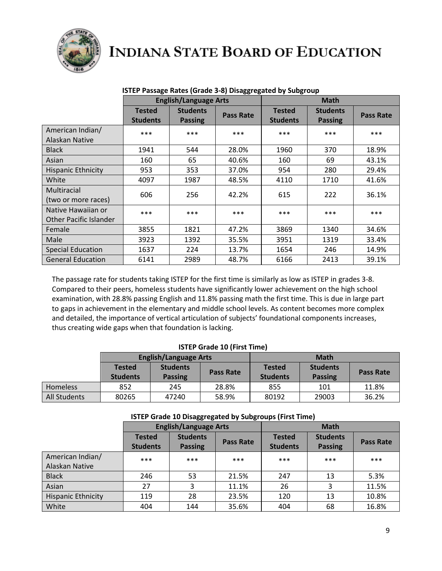

|                                                     | <b>English/Language Arts</b>     |                                   |           | <b>Math</b>                      |                                   |                  |
|-----------------------------------------------------|----------------------------------|-----------------------------------|-----------|----------------------------------|-----------------------------------|------------------|
|                                                     | <b>Tested</b><br><b>Students</b> | <b>Students</b><br><b>Passing</b> | Pass Rate | <b>Tested</b><br><b>Students</b> | <b>Students</b><br><b>Passing</b> | <b>Pass Rate</b> |
| American Indian/<br>Alaskan Native                  | ***                              | ***                               | ***       | $* * *$                          | ***                               | ***              |
| <b>Black</b>                                        | 1941                             | 544                               | 28.0%     | 1960                             | 370                               | 18.9%            |
| Asian                                               | 160                              | 65                                | 40.6%     | 160                              | 69                                | 43.1%            |
| <b>Hispanic Ethnicity</b>                           | 953                              | 353                               | 37.0%     | 954                              | 280                               | 29.4%            |
| White                                               | 4097                             | 1987                              | 48.5%     | 4110                             | 1710                              | 41.6%            |
| Multiracial<br>(two or more races)                  | 606                              | 256                               | 42.2%     | 615                              | 222                               | 36.1%            |
| Native Hawaiian or<br><b>Other Pacific Islander</b> | ***                              | $***$                             | $***$     | $***$                            | $***$                             | ***              |
| Female                                              | 3855                             | 1821                              | 47.2%     | 3869                             | 1340                              | 34.6%            |
| Male                                                | 3923                             | 1392                              | 35.5%     | 3951                             | 1319                              | 33.4%            |
| <b>Special Education</b>                            | 1637                             | 224                               | 13.7%     | 1654                             | 246                               | 14.9%            |
| <b>General Education</b>                            | 6141                             | 2989                              | 48.7%     | 6166                             | 2413                              | 39.1%            |

#### **ISTEP Passage Rates (Grade 3-8) Disaggregated by Subgroup**

The passage rate for students taking ISTEP for the first time is similarly as low as ISTEP in grades 3-8. Compared to their peers, homeless students have significantly lower achievement on the high school examination, with 28.8% passing English and 11.8% passing math the first time. This is due in large part to gaps in achievement in the elementary and middle school levels. As content becomes more complex and detailed, the importance of vertical articulation of subjects' foundational components increases, thus creating wide gaps when that foundation is lacking.

#### **ISTEP Grade 10 (First Time)**

|              | <b>English/Language Arts</b>     |                                   |           | <b>Math</b>                      |                                   |                  |
|--------------|----------------------------------|-----------------------------------|-----------|----------------------------------|-----------------------------------|------------------|
|              | <b>Tested</b><br><b>Students</b> | <b>Students</b><br><b>Passing</b> | Pass Rate | <b>Tested</b><br><b>Students</b> | <b>Students</b><br><b>Passing</b> | <b>Pass Rate</b> |
| Homeless     | 852                              | 245                               | 28.8%     | 855                              | 101                               | 11.8%            |
| All Students | 80265                            | 47240                             | 58.9%     | 80192                            | 29003                             | 36.2%            |

|                                    | <b>English/Language Arts</b>     |                                   |                  | <b>Math</b>                      |                                                       |       |
|------------------------------------|----------------------------------|-----------------------------------|------------------|----------------------------------|-------------------------------------------------------|-------|
|                                    | <b>Tested</b><br><b>Students</b> | <b>Students</b><br><b>Passing</b> | <b>Pass Rate</b> | <b>Tested</b><br><b>Students</b> | <b>Students</b><br><b>Pass Rate</b><br><b>Passing</b> |       |
| American Indian/<br>Alaskan Native | ***                              | $***$                             | ***              | $***$                            | ***                                                   | ***   |
| <b>Black</b>                       | 246                              | 53                                | 21.5%            | 247                              | 13                                                    | 5.3%  |
| Asian                              | 27                               |                                   | 11.1%            | 26                               | 3                                                     | 11.5% |
| <b>Hispanic Ethnicity</b>          | 119                              | 28                                | 23.5%            | 120                              | 13                                                    | 10.8% |
| White                              | 404                              | 144                               | 35.6%            | 404                              | 68                                                    | 16.8% |

#### **ISTEP Grade 10 Disaggregated by Subgroups (First Time)**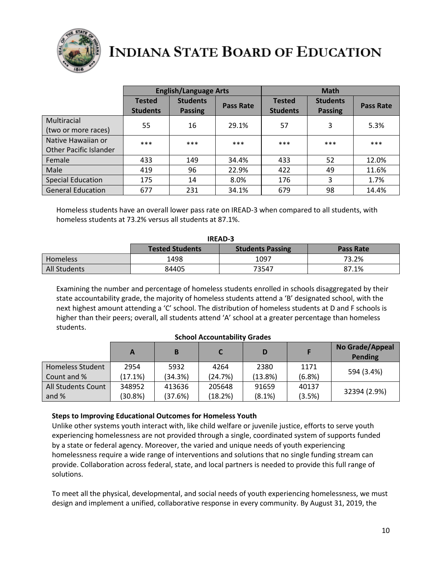

|                                                     | <b>English/Language Arts</b>     |                                   |                  | <b>Math</b>                      |                                   |                  |
|-----------------------------------------------------|----------------------------------|-----------------------------------|------------------|----------------------------------|-----------------------------------|------------------|
|                                                     | <b>Tested</b><br><b>Students</b> | <b>Students</b><br><b>Passing</b> | <b>Pass Rate</b> | <b>Tested</b><br><b>Students</b> | <b>Students</b><br><b>Passing</b> | <b>Pass Rate</b> |
| Multiracial<br>(two or more races)                  | 55                               | 16                                | 29.1%            | 57                               | 3                                 | 5.3%             |
| Native Hawaiian or<br><b>Other Pacific Islander</b> | ***                              | $***$                             | ***              | $***$                            | $***$                             | ***              |
| Female                                              | 433                              | 149                               | 34.4%            | 433                              | 52                                | 12.0%            |
| Male                                                | 419                              | 96                                | 22.9%            | 422                              | 49                                | 11.6%            |
| <b>Special Education</b>                            | 175                              | 14                                | 8.0%             | 176                              | 3                                 | 1.7%             |
| <b>General Education</b>                            | 677                              | 231                               | 34.1%            | 679                              | 98                                | 14.4%            |

Homeless students have an overall lower pass rate on IREAD-3 when compared to all students, with homeless students at 73.2% versus all students at 87.1%.

| <b>IREAD-3</b>                                                        |       |       |       |  |  |  |  |
|-----------------------------------------------------------------------|-------|-------|-------|--|--|--|--|
| <b>Tested Students</b><br><b>Students Passing</b><br><b>Pass Rate</b> |       |       |       |  |  |  |  |
| <b>Homeless</b>                                                       | 1498  | 1097  | 73.2% |  |  |  |  |
| All Students                                                          | 84405 | 73547 | 87.1% |  |  |  |  |

Examining the number and percentage of homeless students enrolled in schools disaggregated by their state accountability grade, the majority of homeless students attend a 'B' designated school, with the next highest amount attending a 'C' school. The distribution of homeless students at D and F schools is higher than their peers; overall, all students attend 'A' school at a greater percentage than homeless students.

|                    | А       | B       |         | D          |        | No Grade/Appeal<br><b>Pending</b> |
|--------------------|---------|---------|---------|------------|--------|-----------------------------------|
| Homeless Student   | 2954    | 5932    | 4264    | 2380       | 1171   | 594 (3.4%)                        |
| Count and %        | (17.1%) | (34.3%) | (24.7%) | $(13.8\%)$ | (6.8%) |                                   |
| All Students Count | 348952  | 413636  | 205648  | 91659      | 40137  |                                   |
| and $%$            | (30.8%) | (37.6%) | (18.2%) | $(8.1\%)$  | (3.5%) | 32394 (2.9%)                      |

#### **School Accountability Grades**

#### **Steps to Improving Educational Outcomes for Homeless Youth**

Unlike other systems youth interact with, like child welfare or juvenile justice, efforts to serve youth experiencing homelessness are not provided through a single, coordinated system of supports funded by a state or federal agency. Moreover, the varied and unique needs of youth experiencing homelessness require a wide range of interventions and solutions that no single funding stream can provide. Collaboration across federal, state, and local partners is needed to provide this full range of solutions.

To meet all the physical, developmental, and social needs of youth experiencing homelessness, we must design and implement a unified, collaborative response in every community. By August 31, 2019, the